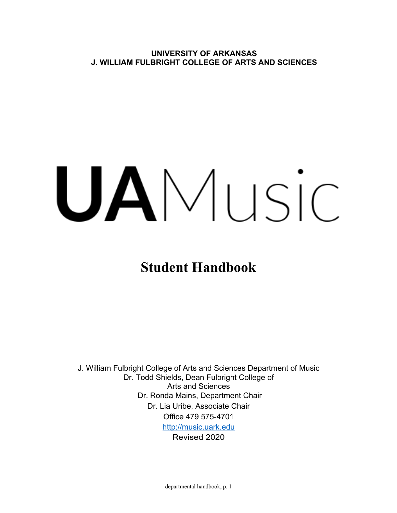**UNIVERSITY OF ARKANSAS J. WILLIAM FULBRIGHT COLLEGE OF ARTS AND SCIENCES**

# UAMusic

**Student Handbook**

J. William Fulbright College of Arts and Sciences Department of Music Dr. Todd Shields, Dean Fulbright College of Arts and Sciences Dr. Ronda Mains, Department Chair Dr. Lia Uribe, Associate Chair Office 479 575-4701 http://music.uark.edu Revised 2020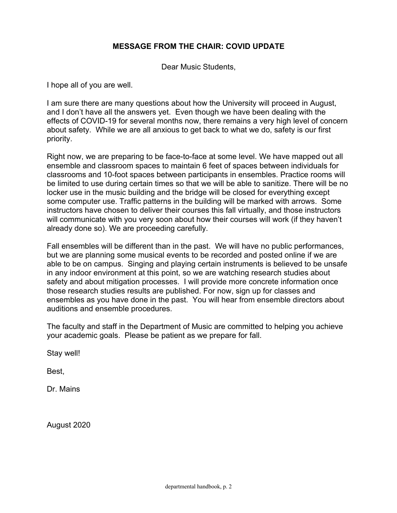# **MESSAGE FROM THE CHAIR: COVID UPDATE**

Dear Music Students,

I hope all of you are well.

I am sure there are many questions about how the University will proceed in August, and I don't have all the answers yet. Even though we have been dealing with the effects of COVID-19 for several months now, there remains a very high level of concern about safety. While we are all anxious to get back to what we do, safety is our first priority.

Right now, we are preparing to be face-to-face at some level. We have mapped out all ensemble and classroom spaces to maintain 6 feet of spaces between individuals for classrooms and 10-foot spaces between participants in ensembles. Practice rooms will be limited to use during certain times so that we will be able to sanitize. There will be no locker use in the music building and the bridge will be closed for everything except some computer use. Traffic patterns in the building will be marked with arrows. Some instructors have chosen to deliver their courses this fall virtually, and those instructors will communicate with you very soon about how their courses will work (if they haven't already done so). We are proceeding carefully.

Fall ensembles will be different than in the past. We will have no public performances, but we are planning some musical events to be recorded and posted online if we are able to be on campus. Singing and playing certain instruments is believed to be unsafe in any indoor environment at this point, so we are watching research studies about safety and about mitigation processes. I will provide more concrete information once those research studies results are published. For now, sign up for classes and ensembles as you have done in the past. You will hear from ensemble directors about auditions and ensemble procedures.

The faculty and staff in the Department of Music are committed to helping you achieve your academic goals. Please be patient as we prepare for fall.

Stay well!

Best,

Dr. Mains

August 2020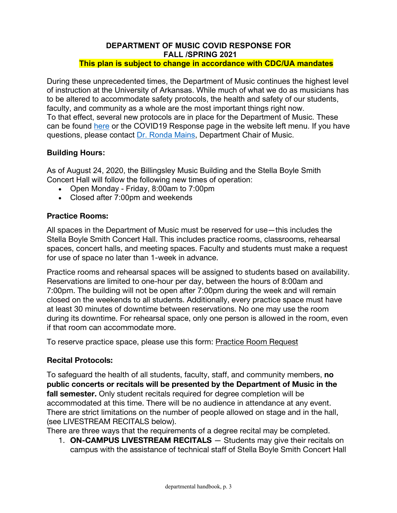#### **DEPARTMENT OF MUSIC COVID RESPONSE FOR FALL /SPRING 2021 This plan is subject to change in accordance with CDC/UA mandates**

During these unprecedented times, the Department of Music continues the highest level of instruction at the University of Arkansas. While much of what we do as musicians has to be altered to accommodate safety protocols, the health and safety of our students, faculty, and community as a whole are the most important things right now. To that effect, several new protocols are in place for the Department of Music. These can be found here or the COVID19 Response page in the website left menu. If you have questions, please contact Dr. Ronda Mains, Department Chair of Music.

# **Building Hours:**

As of August 24, 2020, the Billingsley Music Building and the Stella Boyle Smith Concert Hall will follow the following new times of operation:

- Open Monday Friday, 8:00am to 7:00pm
- Closed after 7:00pm and weekends

## **Practice Rooms:**

All spaces in the Department of Music must be reserved for use—this includes the Stella Boyle Smith Concert Hall. This includes practice rooms, classrooms, rehearsal spaces, concert halls, and meeting spaces. Faculty and students must make a request for use of space no later than 1-week in advance.

Practice rooms and rehearsal spaces will be assigned to students based on availability. Reservations are limited to one-hour per day, between the hours of 8:00am and 7:00pm. The building will not be open after 7:00pm during the week and will remain closed on the weekends to all students. Additionally, every practice space must have at least 30 minutes of downtime between reservations. No one may use the room during its downtime. For rehearsal space, only one person is allowed in the room, even if that room can accommodate more.

To reserve practice space, please use this form: Practice Room Request

## **Recital Protocols:**

To safeguard the health of all students, faculty, staff, and community members, **no public concerts or recitals will be presented by the Department of Music in the fall semester.** Only student recitals required for degree completion will be accommodated at this time. There will be no audience in attendance at any event. There are strict limitations on the number of people allowed on stage and in the hall, (see LIVESTREAM RECITALS below).

There are three ways that the requirements of a degree recital may be completed.

1. **ON-CAMPUS LIVESTREAM RECITALS** — Students may give their recitals on campus with the assistance of technical staff of Stella Boyle Smith Concert Hall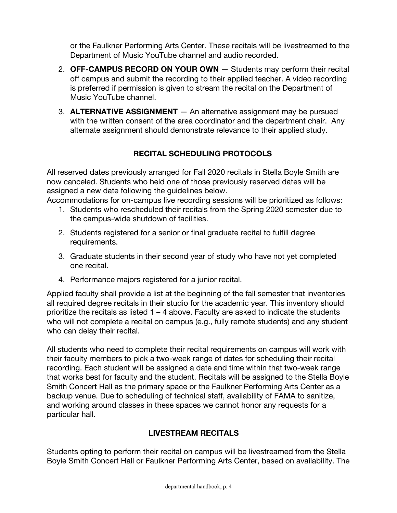or the Faulkner Performing Arts Center. These recitals will be livestreamed to the Department of Music YouTube channel and audio recorded.

- 2. **OFF-CAMPUS RECORD ON YOUR OWN** Students may perform their recital off campus and submit the recording to their applied teacher. A video recording is preferred if permission is given to stream the recital on the Department of Music YouTube channel.
- 3. **ALTERNATIVE ASSIGNMENT** An alternative assignment may be pursued with the written consent of the area coordinator and the department chair. Any alternate assignment should demonstrate relevance to their applied study.

# **RECITAL SCHEDULING PROTOCOLS**

All reserved dates previously arranged for Fall 2020 recitals in Stella Boyle Smith are now canceled. Students who held one of those previously reserved dates will be assigned a new date following the guidelines below.

Accommodations for on-campus live recording sessions will be prioritized as follows:

- 1. Students who rescheduled their recitals from the Spring 2020 semester due to the campus-wide shutdown of facilities.
- 2. Students registered for a senior or final graduate recital to fulfill degree requirements.
- 3. Graduate students in their second year of study who have not yet completed one recital.
- 4. Performance majors registered for a junior recital.

Applied faculty shall provide a list at the beginning of the fall semester that inventories all required degree recitals in their studio for the academic year. This inventory should prioritize the recitals as listed  $1 - 4$  above. Faculty are asked to indicate the students who will not complete a recital on campus (e.g., fully remote students) and any student who can delay their recital.

All students who need to complete their recital requirements on campus will work with their faculty members to pick a two-week range of dates for scheduling their recital recording. Each student will be assigned a date and time within that two-week range that works best for faculty and the student. Recitals will be assigned to the Stella Boyle Smith Concert Hall as the primary space or the Faulkner Performing Arts Center as a backup venue. Due to scheduling of technical staff, availability of FAMA to sanitize, and working around classes in these spaces we cannot honor any requests for a particular hall.

# **LIVESTREAM RECITALS**

Students opting to perform their recital on campus will be livestreamed from the Stella Boyle Smith Concert Hall or Faulkner Performing Arts Center, based on availability. The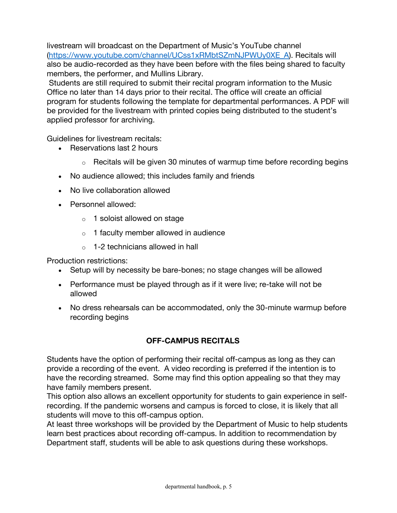livestream will broadcast on the Department of Music's YouTube channel (https://www.youtube.com/channel/UCss1xRMbtSZmNJPWUy0XE\_A). Recitals will also be audio-recorded as they have been before with the files being shared to faculty members, the performer, and Mullins Library.

Students are still required to submit their recital program information to the Music Office no later than 14 days prior to their recital. The office will create an official program for students following the template for departmental performances. A PDF will be provided for the livestream with printed copies being distributed to the student's applied professor for archiving.

Guidelines for livestream recitals:

- Reservations last 2 hours
	- $\circ$  Recitals will be given 30 minutes of warmup time before recording begins
- No audience allowed; this includes family and friends
- No live collaboration allowed
- Personnel allowed:
	- o 1 soloist allowed on stage
	- o 1 faculty member allowed in audience
	- $\circ$  1-2 technicians allowed in hall

Production restrictions:

- Setup will by necessity be bare-bones; no stage changes will be allowed
- Performance must be played through as if it were live; re-take will not be allowed
- No dress rehearsals can be accommodated, only the 30-minute warmup before recording begins

# **OFF-CAMPUS RECITALS**

Students have the option of performing their recital off-campus as long as they can provide a recording of the event. A video recording is preferred if the intention is to have the recording streamed. Some may find this option appealing so that they may have family members present.

This option also allows an excellent opportunity for students to gain experience in selfrecording. If the pandemic worsens and campus is forced to close, it is likely that all students will move to this off-campus option.

At least three workshops will be provided by the Department of Music to help students learn best practices about recording off-campus. In addition to recommendation by Department staff, students will be able to ask questions during these workshops.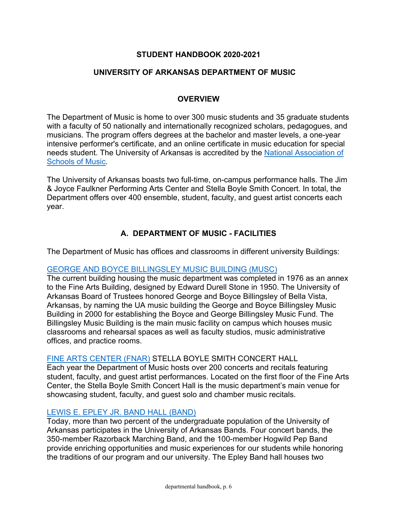# **STUDENT HANDBOOK 2020-2021**

## **UNIVERSITY OF ARKANSAS DEPARTMENT OF MUSIC**

## **OVERVIEW**

The Department of Music is home to over 300 music students and 35 graduate students with a faculty of 50 nationally and internationally recognized scholars, pedagogues, and musicians. The program offers degrees at the bachelor and master levels, a one-year intensive performer's certificate, and an online certificate in music education for special needs student. The University of Arkansas is accredited by the National Association of Schools of Music.

The University of Arkansas boasts two full-time, on-campus performance halls. The Jim & Joyce Faulkner Performing Arts Center and Stella Boyle Smith Concert. In total, the Department offers over 400 ensemble, student, faculty, and guest artist concerts each year.

# **A. DEPARTMENT OF MUSIC - FACILITIES**

The Department of Music has offices and classrooms in different university Buildings:

## GEORGE AND BOYCE BILLINGSLEY MUSIC BUILDING (MUSC)

The current building housing the music department was completed in 1976 as an annex to the Fine Arts Building, designed by Edward Durell Stone in 1950. The University of Arkansas Board of Trustees honored George and Boyce Billingsley of Bella Vista, Arkansas, by naming the UA music building the George and Boyce Billingsley Music Building in 2000 for establishing the Boyce and George Billingsley Music Fund. The Billingsley Music Building is the main music facility on campus which houses music classrooms and rehearsal spaces as well as faculty studios, music administrative offices, and practice rooms.

## FINE ARTS CENTER (FNAR) STELLA BOYLE SMITH CONCERT HALL

Each year the Department of Music hosts over 200 concerts and recitals featuring student, faculty, and guest artist performances. Located on the first floor of the Fine Arts Center, the Stella Boyle Smith Concert Hall is the music department's main venue for showcasing student, faculty, and guest solo and chamber music recitals.

## LEWIS E. EPLEY JR. BAND HALL (BAND)

Today, more than two percent of the undergraduate population of the University of Arkansas participates in the University of Arkansas Bands. Four concert bands, the 350-member Razorback Marching Band, and the 100-member Hogwild Pep Band provide enriching opportunities and music experiences for our students while honoring the traditions of our program and our university. The Epley Band hall houses two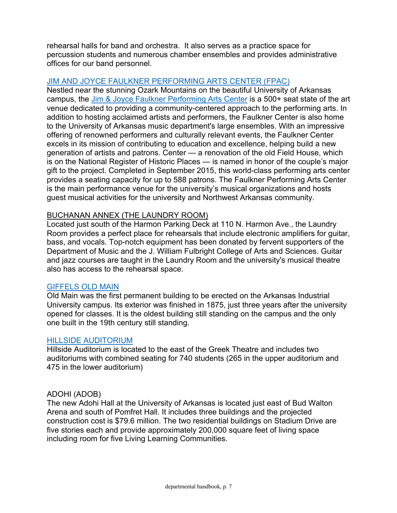rehearsal halls for band and orchestra. It also serves as a practice space for percussion students and numerous chamber ensembles and provides administrative offices for our band personnel.

# JIM AND JOYCE FAULKNER PERFORMING ARTS CENTER (FPAC)

Nestled near the stunning Ozark Mountains on the beautiful University of Arkansas campus, the Jim & Joyce Faulkner Performing Arts Center is a 500+ seat state of the art venue dedicated to providing a community-centered approach to the performing arts. In addition to hosting acclaimed artists and performers, the Faulkner Center is also home to the University of Arkansas music department's large ensembles. With an impressive offering of renowned performers and culturally relevant events, the Faulkner Center excels in its mission of contributing to education and excellence, helping build a new generation of artists and patrons. Center — a renovation of the old Field House, which is on the National Register of Historic Places — is named in honor of the couple's major gift to the project. Completed in September 2015, this world-class performing arts center provides a seating capacity for up to 588 patrons. The Faulkner Performing Arts Center is the main performance venue for the university's musical organizations and hosts guest musical activities for the university and Northwest Arkansas community.

## BUCHANAN ANNEX (THE LAUNDRY ROOM)

Located just south of the Harmon Parking Deck at 110 N. Harmon Ave., the Laundry Room provides a perfect place for rehearsals that include electronic amplifiers for guitar, bass, and vocals. Top-notch equipment has been donated by fervent supporters of the Department of Music and the J. William Fulbright College of Arts and Sciences. Guitar and jazz courses are taught in the Laundry Room and the university's musical theatre also has access to the rehearsal space.

## GIFFELS OLD MAIN

Old Main was the first permanent building to be erected on the Arkansas Industrial University campus. Its exterior was finished in 1875, just three years after the university opened for classes. It is the oldest building still standing on the campus and the only one built in the 19th century still standing.

#### HILLSIDE AUDITORIUM

Hillside Auditorium is located to the east of the Greek Theatre and includes two auditoriums with combined seating for 740 students (265 in the upper auditorium and 475 in the lower auditorium)

## ADOHI (ADOB)

The new Adohi Hall at the University of Arkansas is located just east of Bud Walton Arena and south of Pomfret Hall. It includes three buildings and the projected construction cost is \$79.6 million. The two residential buildings on Stadium Drive are five stories each and provide approximately 200,000 square feet of living space including room for five Living Learning Communities.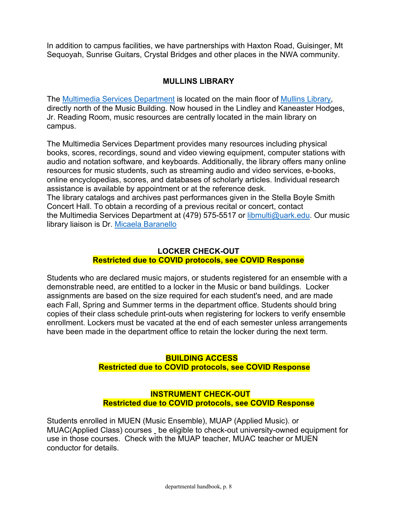In addition to campus facilities, we have partnerships with Haxton Road, Guisinger, Mt Sequoyah, Sunrise Guitars, Crystal Bridges and other places in the NWA community.

# **MULLINS LIBRARY**

The Multimedia Services Department is located on the main floor of Mullins Library, directly north of the Music Building. Now housed in the Lindley and Kaneaster Hodges, Jr. Reading Room, music resources are centrally located in the main library on campus.

The Multimedia Services Department provides many resources including physical books, scores, recordings, sound and video viewing equipment, computer stations with audio and notation software, and keyboards. Additionally, the library offers many online resources for music students, such as streaming audio and video services, e-books, online encyclopedias, scores, and databases of scholarly articles. Individual research assistance is available by appointment or at the reference desk. The library catalogs and archives past performances given in the Stella Boyle Smith Concert Hall. To obtain a recording of a previous recital or concert, contact the Multimedia Services Department at (479) 575-5517 or libmulti@uark.edu. Our music library liaison is Dr. Micaela Baranello

# **LOCKER CHECK-OUT Restricted due to COVID protocols, see COVID Response**

Students who are declared music majors, or students registered for an ensemble with a demonstrable need, are entitled to a locker in the Music or band buildings. Locker assignments are based on the size required for each student's need, and are made each Fall, Spring and Summer terms in the department office. Students should bring copies of their class schedule print-outs when registering for lockers to verify ensemble enrollment. Lockers must be vacated at the end of each semester unless arrangements have been made in the department office to retain the locker during the next term.

# **BUILDING ACCESS**

## **Restricted due to COVID protocols, see COVID Response**

# **INSTRUMENT CHECK-OUT Restricted due to COVID protocols, see COVID Response**

Students enrolled in MUEN (Music Ensemble), MUAP (Applied Music). or MUAC(Applied Class) courses be eligible to check-out university-owned equipment for use in those courses. Check with the MUAP teacher, MUAC teacher or MUEN conductor for details.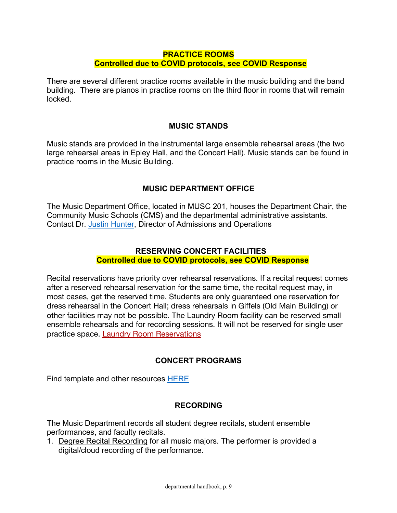# **PRACTICE ROOMS Controlled due to COVID protocols, see COVID Response**

There are several different practice rooms available in the music building and the band building. There are pianos in practice rooms on the third floor in rooms that will remain locked.

## **MUSIC STANDS**

Music stands are provided in the instrumental large ensemble rehearsal areas (the two large rehearsal areas in Epley Hall, and the Concert Hall). Music stands can be found in practice rooms in the Music Building.

## **MUSIC DEPARTMENT OFFICE**

The Music Department Office, located in MUSC 201, houses the Department Chair, the Community Music Schools (CMS) and the departmental administrative assistants. Contact Dr. Justin Hunter, Director of Admissions and Operations

## **RESERVING CONCERT FACILITIES Controlled due to COVID protocols, see COVID Response**

Recital reservations have priority over rehearsal reservations. If a recital request comes after a reserved rehearsal reservation for the same time, the recital request may, in most cases, get the reserved time. Students are only guaranteed one reservation for dress rehearsal in the Concert Hall; dress rehearsals in Giffels (Old Main Building) or other facilities may not be possible. The Laundry Room facility can be reserved small ensemble rehearsals and for recording sessions. It will not be reserved for single user practice space. Laundry Room Reservations

## **CONCERT PROGRAMS**

Find template and other resources HERE

## **RECORDING**

The Music Department records all student degree recitals, student ensemble performances, and faculty recitals.

1. Degree Recital Recording for all music majors. The performer is provided a digital/cloud recording of the performance.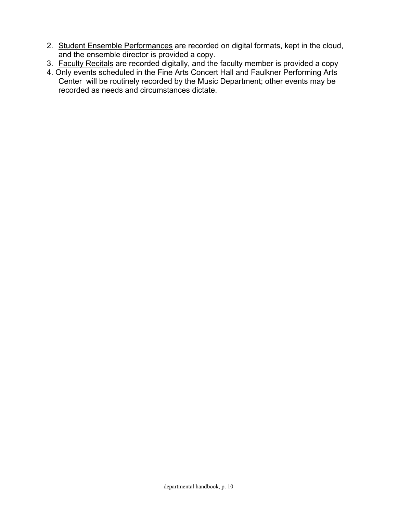- 2. Student Ensemble Performances are recorded on digital formats, kept in the cloud, and the ensemble director is provided a copy.
- 3. Faculty Recitals are recorded digitally, and the faculty member is provided a copy
- 4. Only events scheduled in the Fine Arts Concert Hall and Faulkner Performing Arts Center will be routinely recorded by the Music Department; other events may be recorded as needs and circumstances dictate.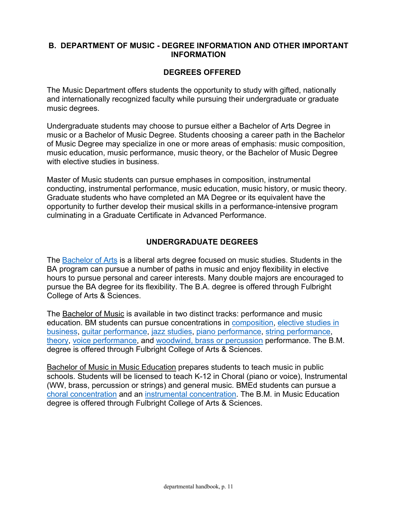## **B. DEPARTMENT OF MUSIC - DEGREE INFORMATION AND OTHER IMPORTANT INFORMATION**

# **DEGREES OFFERED**

The Music Department offers students the opportunity to study with gifted, nationally and internationally recognized faculty while pursuing their undergraduate or graduate music degrees.

Undergraduate students may choose to pursue either a Bachelor of Arts Degree in music or a Bachelor of Music Degree. Students choosing a career path in the Bachelor of Music Degree may specialize in one or more areas of emphasis: music composition, music education, music performance, music theory, or the Bachelor of Music Degree with elective studies in business.

Master of Music students can pursue emphases in composition, instrumental conducting, instrumental performance, music education, music history, or music theory. Graduate students who have completed an MA Degree or its equivalent have the opportunity to further develop their musical skills in a performance-intensive program culminating in a Graduate Certificate in Advanced Performance.

# **UNDERGRADUATE DEGREES**

The **Bachelor of Arts** is a liberal arts degree focused on music studies. Students in the BA program can pursue a number of paths in music and enjoy flexibility in elective hours to pursue personal and career interests. Many double majors are encouraged to pursue the BA degree for its flexibility. The B.A. degree is offered through Fulbright College of Arts & Sciences.

The Bachelor of Music is available in two distinct tracks: performance and music education. BM students can pursue concentrations in composition, elective studies in business, guitar performance, jazz studies, piano performance, string performance, theory, voice performance, and woodwind, brass or percussion performance. The B.M. degree is offered through Fulbright College of Arts & Sciences.

Bachelor of Music in Music Education prepares students to teach music in public schools. Students will be licensed to teach K-12 in Choral (piano or voice), Instrumental (WW, brass, percussion or strings) and general music. BMEd students can pursue a choral concentration and an instrumental concentration. The B.M. in Music Education degree is offered through Fulbright College of Arts & Sciences.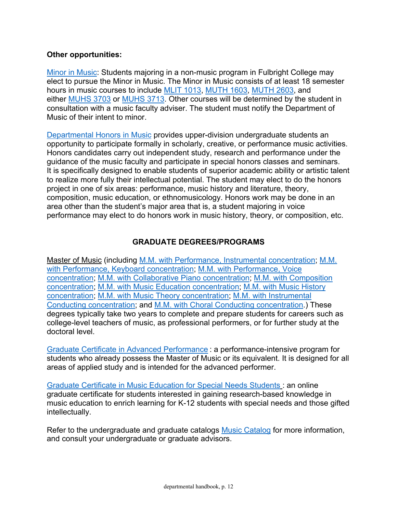# **Other opportunities:**

Minor in Music: Students majoring in a non-music program in Fulbright College may elect to pursue the Minor in Music. The Minor in Music consists of at least 18 semester hours in music courses to include MLIT 1013, MUTH 1603, MUTH 2603, and either MUHS 3703 or MUHS 3713. Other courses will be determined by the student in consultation with a music faculty adviser. The student must notify the Department of Music of their intent to minor.

Departmental Honors in Music provides upper-division undergraduate students an opportunity to participate formally in scholarly, creative, or performance music activities. Honors candidates carry out independent study, research and performance under the guidance of the music faculty and participate in special honors classes and seminars. It is specifically designed to enable students of superior academic ability or artistic talent to realize more fully their intellectual potential. The student may elect to do the honors project in one of six areas: performance, music history and literature, theory, composition, music education, or ethnomusicology. Honors work may be done in an area other than the student's major area that is, a student majoring in voice performance may elect to do honors work in music history, theory, or composition, etc.

# **GRADUATE DEGREES/PROGRAMS**

Master of Music (including M.M. with Performance, Instrumental concentration; M.M. with Performance, Keyboard concentration; M.M. with Performance, Voice concentration; M.M. with Collaborative Piano concentration; M.M. with Composition concentration; M.M. with Music Education concentration; M.M. with Music History concentration; M.M. with Music Theory concentration; M.M. with Instrumental Conducting concentration; and M.M. with Choral Conducting concentration.) These degrees typically take two years to complete and prepare students for careers such as college-level teachers of music, as professional performers, or for further study at the doctoral level.

Graduate Certificate in Advanced Performance : a performance-intensive program for students who already possess the Master of Music or its equivalent. It is designed for all areas of applied study and is intended for the advanced performer.

Graduate Certificate in Music Education for Special Needs Students : an online graduate certificate for students interested in gaining research-based knowledge in music education to enrich learning for K-12 students with special needs and those gifted intellectually.

Refer to the undergraduate and graduate catalogs Music Catalog for more information, and consult your undergraduate or graduate advisors.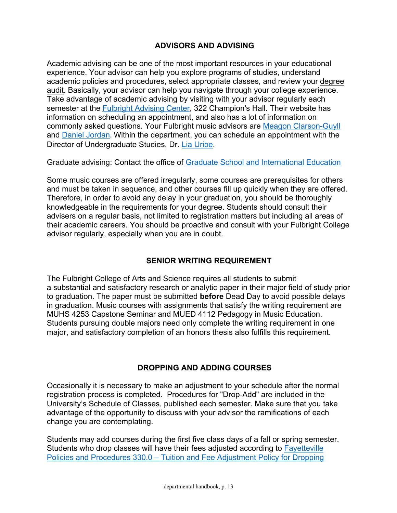# **ADVISORS AND ADVISING**

Academic advising can be one of the most important resources in your educational experience. Your advisor can help you explore programs of studies, understand academic policies and procedures, select appropriate classes, and review your degree audit. Basically, your advisor can help you navigate through your college experience. Take advantage of academic advising by visiting with your advisor regularly each semester at the Fulbright Advising Center, 322 Champion's Hall. Their website has information on scheduling an appointment, and also has a lot of information on commonly asked questions. Your Fulbright music advisors are Meagon Clarson-Guyll and Daniel Jordan. Within the department, you can schedule an appointment with the Director of Undergraduate Studies, Dr. Lia Uribe.

Graduate advising: Contact the office of Graduate School and International Education

Some music courses are offered irregularly, some courses are prerequisites for others and must be taken in sequence, and other courses fill up quickly when they are offered. Therefore, in order to avoid any delay in your graduation, you should be thoroughly knowledgeable in the requirements for your degree. Students should consult their advisers on a regular basis, not limited to registration matters but including all areas of their academic careers. You should be proactive and consult with your Fulbright College advisor regularly, especially when you are in doubt.

# **SENIOR WRITING REQUIREMENT**

The Fulbright College of Arts and Science requires all students to submit a substantial and satisfactory research or analytic paper in their major field of study prior to graduation. The paper must be submitted **before** Dead Day to avoid possible delays in graduation. Music courses with assignments that satisfy the writing requirement are MUHS 4253 Capstone Seminar and MUED 4112 Pedagogy in Music Education. Students pursuing double majors need only complete the writing requirement in one major, and satisfactory completion of an honors thesis also fulfills this requirement.

# **DROPPING AND ADDING COURSES**

Occasionally it is necessary to make an adjustment to your schedule after the normal registration process is completed. Procedures for "Drop-Add" are included in the University's Schedule of Classes, published each semester. Make sure that you take advantage of the opportunity to discuss with your advisor the ramifications of each change you are contemplating.

Students may add courses during the first five class days of a fall or spring semester. Students who drop classes will have their fees adjusted according to Fayetteville Policies and Procedures 330.0 – Tuition and Fee Adjustment Policy for Dropping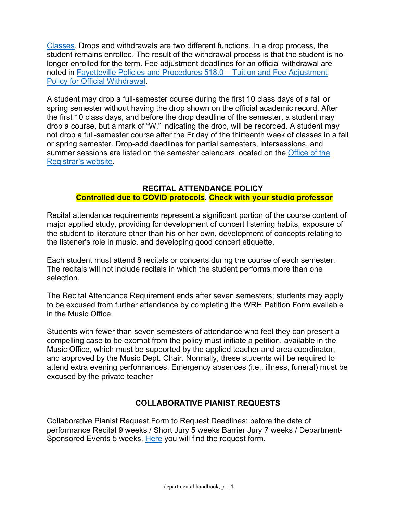Classes. Drops and withdrawals are two different functions. In a drop process, the student remains enrolled. The result of the withdrawal process is that the student is no longer enrolled for the term. Fee adjustment deadlines for an official withdrawal are noted in Fayetteville Policies and Procedures 518.0 – Tuition and Fee Adjustment Policy for Official Withdrawal.

A student may drop a full-semester course during the first 10 class days of a fall or spring semester without having the drop shown on the official academic record. After the first 10 class days, and before the drop deadline of the semester, a student may drop a course, but a mark of "W," indicating the drop, will be recorded. A student may not drop a full-semester course after the Friday of the thirteenth week of classes in a fall or spring semester. Drop-add deadlines for partial semesters, intersessions, and summer sessions are listed on the semester calendars located on the Office of the Registrar's website.

## **RECITAL ATTENDANCE POLICY Controlled due to COVID protocols. Check with your studio professor**

Recital attendance requirements represent a significant portion of the course content of major applied study, providing for development of concert listening habits, exposure of the student to literature other than his or her own, development of concepts relating to the listener's role in music, and developing good concert etiquette.

Each student must attend 8 recitals or concerts during the course of each semester. The recitals will not include recitals in which the student performs more than one selection.

The Recital Attendance Requirement ends after seven semesters; students may apply to be excused from further attendance by completing the WRH Petition Form available in the Music Office.

Students with fewer than seven semesters of attendance who feel they can present a compelling case to be exempt from the policy must initiate a petition, available in the Music Office, which must be supported by the applied teacher and area coordinator, and approved by the Music Dept. Chair. Normally, these students will be required to attend extra evening performances. Emergency absences (i.e., illness, funeral) must be excused by the private teacher

# **COLLABORATIVE PIANIST REQUESTS**

Collaborative Pianist Request Form to Request Deadlines: before the date of performance Recital 9 weeks / Short Jury 5 weeks Barrier Jury 7 weeks / Department-Sponsored Events 5 weeks. Here you will find the request form.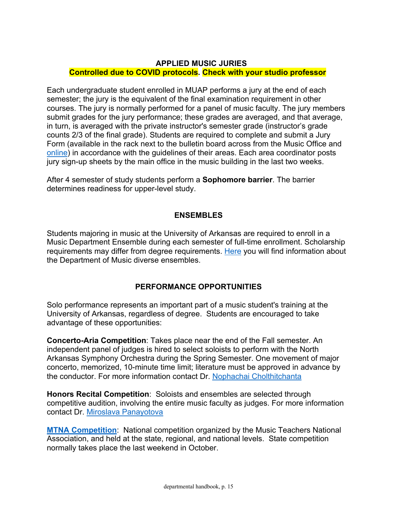# **APPLIED MUSIC JURIES Controlled due to COVID protocols. Check with your studio professor**

Each undergraduate student enrolled in MUAP performs a jury at the end of each semester; the jury is the equivalent of the final examination requirement in other courses. The jury is normally performed for a panel of music faculty. The jury members submit grades for the jury performance; these grades are averaged, and that average, in turn, is averaged with the private instructor's semester grade (instructor's grade counts 2/3 of the final grade). Students are required to complete and submit a Jury Form (available in the rack next to the bulletin board across from the Music Office and online) in accordance with the guidelines of their areas. Each area coordinator posts jury sign-up sheets by the main office in the music building in the last two weeks.

After 4 semester of study students perform a **Sophomore barrier**. The barrier determines readiness for upper-level study.

# **ENSEMBLES**

Students majoring in music at the University of Arkansas are required to enroll in a Music Department Ensemble during each semester of full-time enrollment. Scholarship requirements may differ from degree requirements. Here you will find information about the Department of Music diverse ensembles.

# **PERFORMANCE OPPORTUNITIES**

Solo performance represents an important part of a music student's training at the University of Arkansas, regardless of degree. Students are encouraged to take advantage of these opportunities:

**Concerto-Aria Competition**: Takes place near the end of the Fall semester. An independent panel of judges is hired to select soloists to perform with the North Arkansas Symphony Orchestra during the Spring Semester. One movement of major concerto, memorized, 10-minute time limit; literature must be approved in advance by the conductor. For more information contact Dr. Nophachai Cholthitchanta

**Honors Recital Competition**: Soloists and ensembles are selected through competitive audition, involving the entire music faculty as judges. For more information contact Dr. Miroslava Panayotova

**MTNA Competition**: National competition organized by the Music Teachers National Association, and held at the state, regional, and national levels. State competition normally takes place the last weekend in October.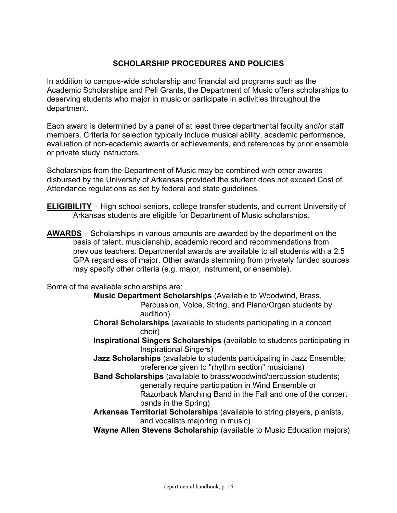# **SCHOLARSHIP PROCEDURES AND POLICIES**

In addition to campus-wide scholarship and financial aid programs such as the Academic Scholarships and Pell Grants, the Department of Music offers scholarships to deserving students who major in music or participate in activities throughout the department.

Each award is determined by a panel of at least three departmental faculty and/or staff members. Criteria for selection typically include musical ability, academic performance, evaluation of non-academic awards or achievements, and references by prior ensemble or private study instructors.

Scholarships from the Department of Music may be combined with other awards disbursed by the University of Arkansas provided the student does not exceed Cost of Attendance regulations as set by federal and state guidelines.

- **ELIGIBILITY** High school seniors, college transfer students, and current University of Arkansas students are eligible for Department of Music scholarships.
- **AWARDS** Scholarships in various amounts are awarded by the department on the basis of talent, musicianship, academic record and recommendations from previous teachers. Departmental awards are available to all students with a 2.5 GPA regardless of major. Other awards stemming from privately funded sources may specify other criteria (e.g. major, instrument, or ensemble).

Some of the available scholarships are:

- **Music Department Scholarships** (Available to Woodwind, Brass, Percussion, Voice, String, and Piano/Organ students by audition)
- **Choral Scholarships** (available to students participating in a concert choir)
- **Inspirational Singers Scholarships** (available to students participating in Inspirational Singers)
- **Jazz Scholarships** (available to students participating in Jazz Ensemble; preference given to "rhythm section" musicians)
- **Band Scholarships** (available to brass/woodwind/percussion students; generally require participation in Wind Ensemble or Razorback Marching Band in the Fall and one of the concert bands in the Spring)
- **Arkansas Territorial Scholarships** (available to string players, pianists, and vocalists majoring in music)
- **Wayne Allen Stevens Scholarship** (available to Music Education majors)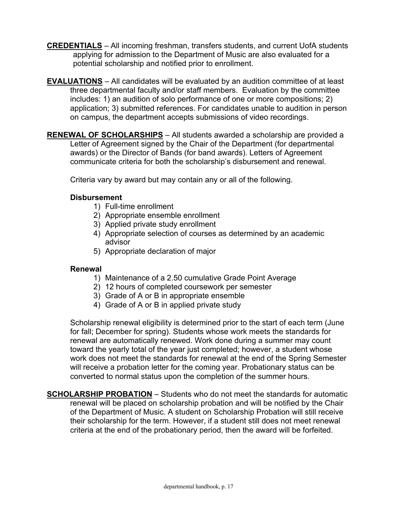- **CREDENTIALS** All incoming freshman, transfers students, and current UofA students applying for admission to the Department of Music are also evaluated for a potential scholarship and notified prior to enrollment.
- **EVALUATIONS** All candidates will be evaluated by an audition committee of at least three departmental faculty and/or staff members. Evaluation by the committee includes: 1) an audition of solo performance of one or more compositions; 2) application; 3) submitted references. For candidates unable to audition in person on campus, the department accepts submissions of video recordings.
- **RENEWAL OF SCHOLARSHIPS** All students awarded a scholarship are provided a Letter of Agreement signed by the Chair of the Department (for departmental awards) or the Director of Bands (for band awards). Letters of Agreement communicate criteria for both the scholarship's disbursement and renewal.

Criteria vary by award but may contain any or all of the following.

# **Disbursement**

- 1) Full-time enrollment
- 2) Appropriate ensemble enrollment
- 3) Applied private study enrollment
- 4) Appropriate selection of courses as determined by an academic advisor
- 5) Appropriate declaration of major

## **Renewal**

- 1) Maintenance of a 2.50 cumulative Grade Point Average
- 2) 12 hours of completed coursework per semester
- 3) Grade of A or B in appropriate ensemble
- 4) Grade of A or B in applied private study

Scholarship renewal eligibility is determined prior to the start of each term (June for fall; December for spring). Students whose work meets the standards for renewal are automatically renewed. Work done during a summer may count toward the yearly total of the year just completed; however, a student whose work does not meet the standards for renewal at the end of the Spring Semester will receive a probation letter for the coming year. Probationary status can be converted to normal status upon the completion of the summer hours.

**SCHOLARSHIP PROBATION** – Students who do not meet the standards for automatic renewal will be placed on scholarship probation and will be notified by the Chair of the Department of Music. A student on Scholarship Probation will still receive their scholarship for the term. However, if a student still does not meet renewal criteria at the end of the probationary period, then the award will be forfeited.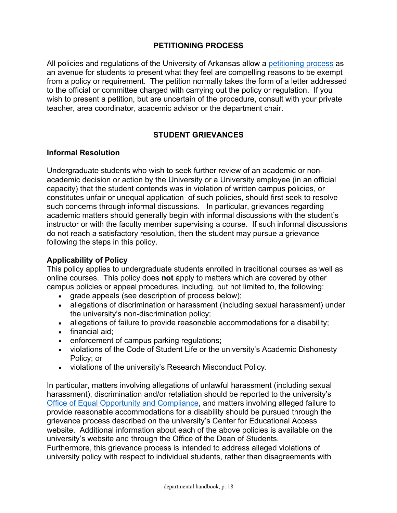# **PETITIONING PROCESS**

All policies and regulations of the University of Arkansas allow a petitioning process as an avenue for students to present what they feel are compelling reasons to be exempt from a policy or requirement. The petition normally takes the form of a letter addressed to the official or committee charged with carrying out the policy or regulation. If you wish to present a petition, but are uncertain of the procedure, consult with your private teacher, area coordinator, academic advisor or the department chair.

# **STUDENT GRIEVANCES**

#### **Informal Resolution**

Undergraduate students who wish to seek further review of an academic or nonacademic decision or action by the University or a University employee (in an official capacity) that the student contends was in violation of written campus policies, or constitutes unfair or unequal application of such policies, should first seek to resolve such concerns through informal discussions. In particular, grievances regarding academic matters should generally begin with informal discussions with the student's instructor or with the faculty member supervising a course. If such informal discussions do not reach a satisfactory resolution, then the student may pursue a grievance following the steps in this policy.

## **Applicability of Policy**

This policy applies to undergraduate students enrolled in traditional courses as well as online courses. This policy does **not** apply to matters which are covered by other campus policies or appeal procedures, including, but not limited to, the following:

- grade appeals (see description of process below);
- allegations of discrimination or harassment (including sexual harassment) under the university's non-discrimination policy;
- allegations of failure to provide reasonable accommodations for a disability;
- financial aid;
- enforcement of campus parking regulations;
- violations of the Code of Student Life or the university's Academic Dishonesty Policy; or
- violations of the university's Research Misconduct Policy.

In particular, matters involving allegations of unlawful harassment (including sexual harassment), discrimination and/or retaliation should be reported to the university's Office of Equal Opportunity and Compliance, and matters involving alleged failure to provide reasonable accommodations for a disability should be pursued through the grievance process described on the university's Center for Educational Access website. Additional information about each of the above policies is available on the university's website and through the Office of the Dean of Students.

Furthermore, this grievance process is intended to address alleged violations of university policy with respect to individual students, rather than disagreements with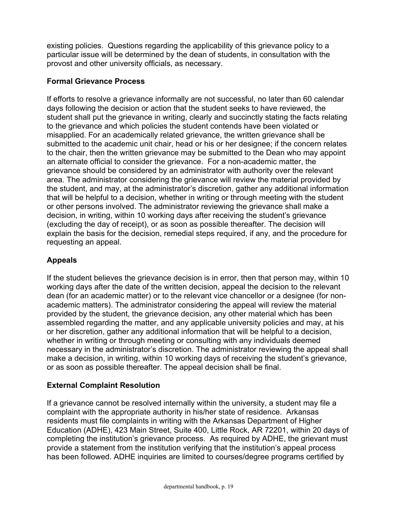existing policies. Questions regarding the applicability of this grievance policy to a particular issue will be determined by the dean of students, in consultation with the provost and other university officials, as necessary.

# **Formal Grievance Process**

If efforts to resolve a grievance informally are not successful, no later than 60 calendar days following the decision or action that the student seeks to have reviewed, the student shall put the grievance in writing, clearly and succinctly stating the facts relating to the grievance and which policies the student contends have been violated or misapplied. For an academically related grievance, the written grievance shall be submitted to the academic unit chair, head or his or her designee; if the concern relates to the chair, then the written grievance may be submitted to the Dean who may appoint an alternate official to consider the grievance. For a non-academic matter, the grievance should be considered by an administrator with authority over the relevant area. The administrator considering the grievance will review the material provided by the student, and may, at the administrator's discretion, gather any additional information that will be helpful to a decision, whether in writing or through meeting with the student or other persons involved. The administrator reviewing the grievance shall make a decision, in writing, within 10 working days after receiving the student's grievance (excluding the day of receipt), or as soon as possible thereafter. The decision will explain the basis for the decision, remedial steps required, if any, and the procedure for requesting an appeal.

# **Appeals**

If the student believes the grievance decision is in error, then that person may, within 10 working days after the date of the written decision, appeal the decision to the relevant dean (for an academic matter) or to the relevant vice chancellor or a designee (for nonacademic matters). The administrator considering the appeal will review the material provided by the student, the grievance decision, any other material which has been assembled regarding the matter, and any applicable university policies and may, at his or her discretion, gather any additional information that will be helpful to a decision, whether in writing or through meeting or consulting with any individuals deemed necessary in the administrator's discretion. The administrator reviewing the appeal shall make a decision, in writing, within 10 working days of receiving the student's grievance, or as soon as possible thereafter. The appeal decision shall be final.

# **External Complaint Resolution**

If a grievance cannot be resolved internally within the university, a student may file a complaint with the appropriate authority in his/her state of residence. Arkansas residents must file complaints in writing with the Arkansas Department of Higher Education (ADHE), 423 Main Street, Suite 400, Little Rock, AR 72201, within 20 days of completing the institution's grievance process. As required by ADHE, the grievant must provide a statement from the institution verifying that the institution's appeal process has been followed. ADHE inquiries are limited to courses/degree programs certified by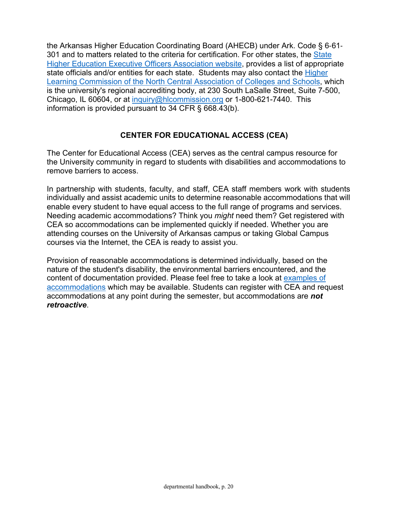the Arkansas Higher Education Coordinating Board (AHECB) under Ark. Code § 6-61- 301 and to matters related to the criteria for certification. For other states, the State Higher Education Executive Officers Association website, provides a list of appropriate state officials and/or entities for each state. Students may also contact the Higher Learning Commission of the North Central Association of Colleges and Schools, which is the university's regional accrediting body, at 230 South LaSalle Street, Suite 7-500, Chicago, IL 60604, or at inquiry@hlcommission.org or 1-800-621-7440. This information is provided pursuant to 34 CFR § 668.43(b).

# **CENTER FOR EDUCATIONAL ACCESS (CEA)**

The Center for Educational Access (CEA) serves as the central campus resource for the University community in regard to students with disabilities and accommodations to remove barriers to access.

In partnership with students, faculty, and staff, CEA staff members work with students individually and assist academic units to determine reasonable accommodations that will enable every student to have equal access to the full range of programs and services. Needing academic accommodations? Think you *might* need them? Get registered with CEA so accommodations can be implemented quickly if needed. Whether you are attending courses on the University of Arkansas campus or taking Global Campus courses via the Internet, the CEA is ready to assist you.

Provision of reasonable accommodations is determined individually, based on the nature of the student's disability, the environmental barriers encountered, and the content of documentation provided. Please feel free to take a look at examples of accommodations which may be available. Students can register with CEA and request accommodations at any point during the semester, but accommodations are *not retroactive*.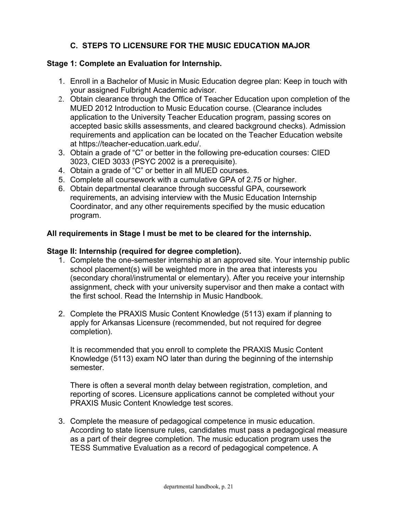# **C. STEPS TO LICENSURE FOR THE MUSIC EDUCATION MAJOR**

## **Stage 1: Complete an Evaluation for Internship.**

- 1. Enroll in a Bachelor of Music in Music Education degree plan: Keep in touch with your assigned Fulbright Academic advisor.
- 2. Obtain clearance through the Office of Teacher Education upon completion of the MUED 2012 Introduction to Music Education course. (Clearance includes application to the University Teacher Education program, passing scores on accepted basic skills assessments, and cleared background checks). Admission requirements and application can be located on the Teacher Education website at https://teacher-education.uark.edu/.
- 3. Obtain a grade of "C" or better in the following pre-education courses: CIED 3023, CIED 3033 (PSYC 2002 is a prerequisite).
- 4. Obtain a grade of "C" or better in all MUED courses.
- 5. Complete all coursework with a cumulative GPA of 2.75 or higher.
- 6. Obtain departmental clearance through successful GPA, coursework requirements, an advising interview with the Music Education Internship Coordinator, and any other requirements specified by the music education program.

## **All requirements in Stage I must be met to be cleared for the internship.**

#### **Stage II: Internship (required for degree completion).**

- 1. Complete the one-semester internship at an approved site. Your internship public school placement(s) will be weighted more in the area that interests you (secondary choral/instrumental or elementary). After you receive your internship assignment, check with your university supervisor and then make a contact with the first school. Read the Internship in Music Handbook.
- 2. Complete the PRAXIS Music Content Knowledge (5113) exam if planning to apply for Arkansas Licensure (recommended, but not required for degree completion).

It is recommended that you enroll to complete the PRAXIS Music Content Knowledge (5113) exam NO later than during the beginning of the internship semester.

There is often a several month delay between registration, completion, and reporting of scores. Licensure applications cannot be completed without your PRAXIS Music Content Knowledge test scores.

3. Complete the measure of pedagogical competence in music education. According to state licensure rules, candidates must pass a pedagogical measure as a part of their degree completion. The music education program uses the TESS Summative Evaluation as a record of pedagogical competence. A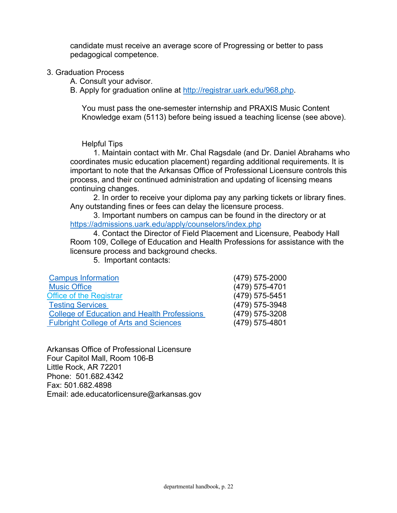candidate must receive an average score of Progressing or better to pass pedagogical competence.

- 3. Graduation Process
	- A. Consult your advisor.
	- B. Apply for graduation online at http://registrar.uark.edu/968.php.

You must pass the one-semester internship and PRAXIS Music Content Knowledge exam (5113) before being issued a teaching license (see above).

Helpful Tips

1. Maintain contact with Mr. Chal Ragsdale (and Dr. Daniel Abrahams who coordinates music education placement) regarding additional requirements. It is important to note that the Arkansas Office of Professional Licensure controls this process, and their continued administration and updating of licensing means continuing changes.

2. In order to receive your diploma pay any parking tickets or library fines. Any outstanding fines or fees can delay the licensure process.

3. Important numbers on campus can be found in the directory or at https://admissions.uark.edu/apply/counselors/index.php

4. Contact the Director of Field Placement and Licensure, Peabody Hall Room 109, College of Education and Health Professions for assistance with the licensure process and background checks.

5. Important contacts:

| <b>Campus Information</b>                          | (479) 575-2000 |
|----------------------------------------------------|----------------|
| <b>Music Office</b>                                | (479) 575-4701 |
| <b>Office of the Registrar</b>                     | (479) 575-5451 |
| <b>Testing Services</b>                            | (479) 575-3948 |
| <b>College of Education and Health Professions</b> | (479) 575-3208 |
| <b>Fulbright College of Arts and Sciences</b>      | (479) 575-4801 |

Arkansas Office of Professional Licensure Four Capitol Mall, Room 106-B Little Rock, AR 72201 Phone: 501.682.4342 Fax: 501.682.4898 Email: ade.educatorlicensure@arkansas.gov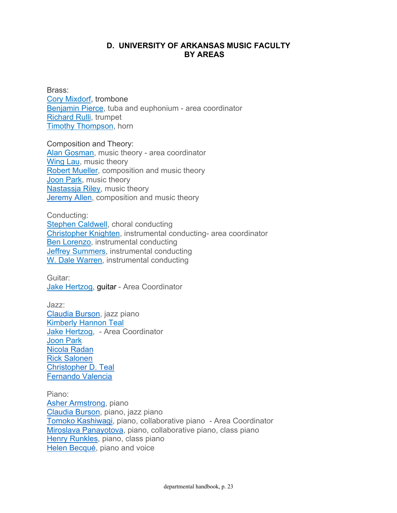## **D. UNIVERSITY OF ARKANSAS MUSIC FACULTY BY AREAS**

Brass: Cory Mixdorf, trombone Benjamin Pierce, tuba and euphonium - area coordinator Richard Rulli, trumpet Timothy Thompson, horn

Composition and Theory: Alan Gosman, music theory - area coordinator Wing Lau, music theory Robert Mueller, composition and music theory Joon Park, music theory Nastassja Riley, music theory Jeremy Allen, composition and music theory

Conducting: **Stephen Caldwell**, choral conducting Christopher Knighten, instrumental conducting- area coordinator Ben Lorenzo, instrumental conducting Jeffrey Summers, instrumental conducting W. Dale Warren, instrumental conducting

Guitar: Jake Hertzog, guitar - Area Coordinator

Jazz: Claudia Burson, jazz piano Kimberly Hannon Teal Jake Hertzog, - Area Coordinator Joon Park Nicola Radan Rick Salonen Christopher D. Teal Fernando Valencia

Piano: Asher Armstrong, piano Claudia Burson, piano, jazz piano Tomoko Kashiwagi, piano, collaborative piano - Area Coordinator Miroslava Panayotova, piano, collaborative piano, class piano Henry Runkles, piano, class piano Helen Becqué, piano and voice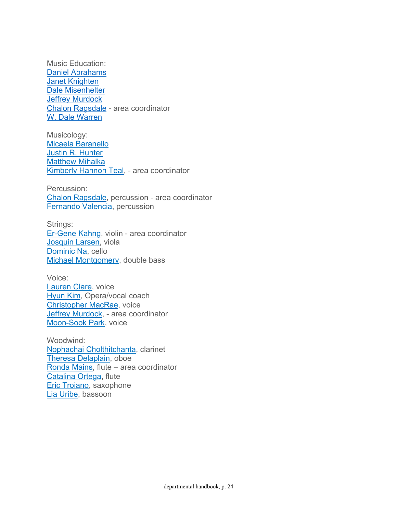Music Education: Daniel Abrahams Janet Knighten Dale Misenhelter **Jeffrey Murdock** Chalon Ragsdale - area coordinator W. Dale Warren

Musicology: Micaela Baranello Justin R. Hunter Matthew Mihalka Kimberly Hannon Teal, - area coordinator

Percussion: Chalon Ragsdale, percussion - area coordinator Fernando Valencia, percussion

Strings: Er-Gene Kahng, violin - area coordinator Josquin Larsen, viola Dominic Na, cello Michael Montgomery, double bass

Voice: Lauren Clare, voice Hyun Kim, Opera/vocal coach Christopher MacRae, voice Jeffrey Murdock, - area coordinator Moon-Sook Park, voice

Woodwind: Nophachai Cholthitchanta, clarinet Theresa Delaplain, oboe Ronda Mains, flute – area coordinator Catalina Ortega, flute Eric Troiano, saxophone Lia Uribe, bassoon